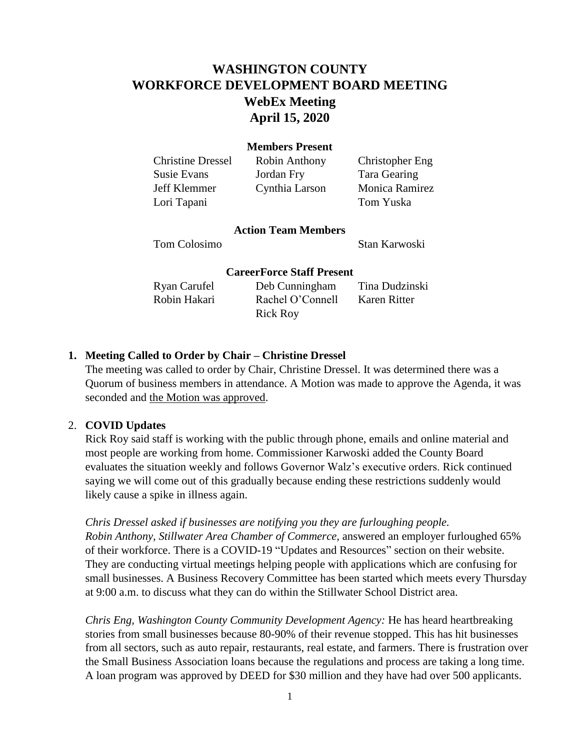# **WASHINGTON COUNTY WORKFORCE DEVELOPMENT BOARD MEETING WebEx Meeting April 15, 2020**

### **Members Present**

Lori Tapani Tom Yuska

Christine Dressel Robin Anthony Christopher Eng Susie Evans Jordan Fry Tara Gearing Jeff Klemmer Cynthia Larson Monica Ramirez

#### **Action Team Members**

Tom Colosimo Stan Karwoski

#### **CareerForce Staff Present**

| Ryan Carufel | Deb Cunningham   | Tina Dudzinski |
|--------------|------------------|----------------|
| Robin Hakari | Rachel O'Connell | Karen Ritter   |
|              | <b>Rick Roy</b>  |                |

### **1. Meeting Called to Order by Chair – Christine Dressel**

The meeting was called to order by Chair, Christine Dressel. It was determined there was a Quorum of business members in attendance. A Motion was made to approve the Agenda, it was seconded and the Motion was approved.

#### 2. **COVID Updates**

Rick Roy said staff is working with the public through phone, emails and online material and most people are working from home. Commissioner Karwoski added the County Board evaluates the situation weekly and follows Governor Walz's executive orders. Rick continued saying we will come out of this gradually because ending these restrictions suddenly would likely cause a spike in illness again.

*Chris Dressel asked if businesses are notifying you they are furloughing people.*

*Robin Anthony, Stillwater Area Chamber of Commerce,* answered an employer furloughed 65% of their workforce. There is a COVID-19 "Updates and Resources" section on their website. They are conducting virtual meetings helping people with applications which are confusing for small businesses. A Business Recovery Committee has been started which meets every Thursday at 9:00 a.m. to discuss what they can do within the Stillwater School District area.

*Chris Eng, Washington County Community Development Agency:* He has heard heartbreaking stories from small businesses because 80-90% of their revenue stopped. This has hit businesses from all sectors, such as auto repair, restaurants, real estate, and farmers. There is frustration over the Small Business Association loans because the regulations and process are taking a long time. A loan program was approved by DEED for \$30 million and they have had over 500 applicants.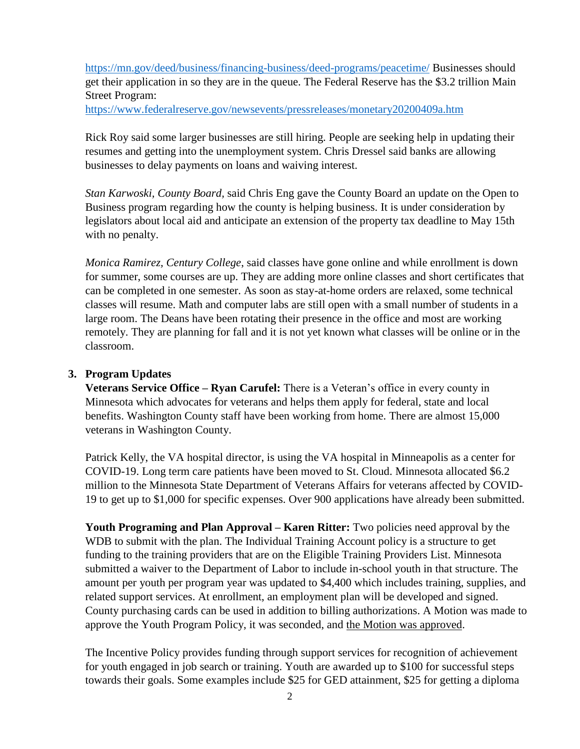<https://mn.gov/deed/business/financing-business/deed-programs/peacetime/> Businesses should get their application in so they are in the queue. The Federal Reserve has the \$3.2 trillion Main Street Program:

<https://www.federalreserve.gov/newsevents/pressreleases/monetary20200409a.htm>

Rick Roy said some larger businesses are still hiring. People are seeking help in updating their resumes and getting into the unemployment system. Chris Dressel said banks are allowing businesses to delay payments on loans and waiving interest.

*Stan Karwoski, County Board,* said Chris Eng gave the County Board an update on the Open to Business program regarding how the county is helping business. It is under consideration by legislators about local aid and anticipate an extension of the property tax deadline to May 15th with no penalty.

*Monica Ramirez, Century College*, said classes have gone online and while enrollment is down for summer, some courses are up. They are adding more online classes and short certificates that can be completed in one semester. As soon as stay-at-home orders are relaxed, some technical classes will resume. Math and computer labs are still open with a small number of students in a large room. The Deans have been rotating their presence in the office and most are working remotely. They are planning for fall and it is not yet known what classes will be online or in the classroom.

## **3. Program Updates**

**Veterans Service Office – Ryan Carufel:** There is a Veteran's office in every county in Minnesota which advocates for veterans and helps them apply for federal, state and local benefits. Washington County staff have been working from home. There are almost 15,000 veterans in Washington County.

Patrick Kelly, the VA hospital director, is using the VA hospital in Minneapolis as a center for COVID-19. Long term care patients have been moved to St. Cloud. Minnesota allocated \$6.2 million to the Minnesota State Department of Veterans Affairs for veterans affected by COVID-19 to get up to \$1,000 for specific expenses. Over 900 applications have already been submitted.

**Youth Programing and Plan Approval – Karen Ritter:** Two policies need approval by the WDB to submit with the plan. The Individual Training Account policy is a structure to get funding to the training providers that are on the Eligible Training Providers List. Minnesota submitted a waiver to the Department of Labor to include in-school youth in that structure. The amount per youth per program year was updated to \$4,400 which includes training, supplies, and related support services. At enrollment, an employment plan will be developed and signed. County purchasing cards can be used in addition to billing authorizations. A Motion was made to approve the Youth Program Policy, it was seconded, and the Motion was approved.

The Incentive Policy provides funding through support services for recognition of achievement for youth engaged in job search or training. Youth are awarded up to \$100 for successful steps towards their goals. Some examples include \$25 for GED attainment, \$25 for getting a diploma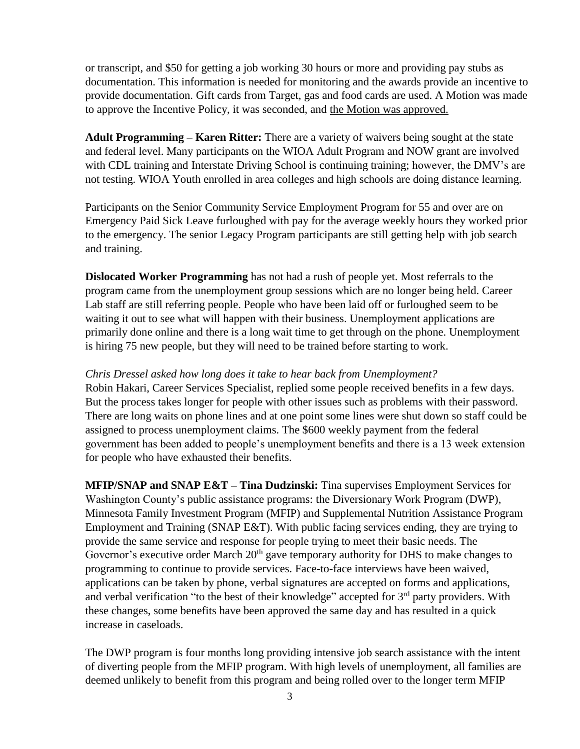or transcript, and \$50 for getting a job working 30 hours or more and providing pay stubs as documentation. This information is needed for monitoring and the awards provide an incentive to provide documentation. Gift cards from Target, gas and food cards are used. A Motion was made to approve the Incentive Policy, it was seconded, and the Motion was approved.

**Adult Programming – Karen Ritter:** There are a variety of waivers being sought at the state and federal level. Many participants on the WIOA Adult Program and NOW grant are involved with CDL training and Interstate Driving School is continuing training; however, the DMV's are not testing. WIOA Youth enrolled in area colleges and high schools are doing distance learning.

Participants on the Senior Community Service Employment Program for 55 and over are on Emergency Paid Sick Leave furloughed with pay for the average weekly hours they worked prior to the emergency. The senior Legacy Program participants are still getting help with job search and training.

**Dislocated Worker Programming** has not had a rush of people yet. Most referrals to the program came from the unemployment group sessions which are no longer being held. Career Lab staff are still referring people. People who have been laid off or furloughed seem to be waiting it out to see what will happen with their business. Unemployment applications are primarily done online and there is a long wait time to get through on the phone. Unemployment is hiring 75 new people, but they will need to be trained before starting to work.

### *Chris Dressel asked how long does it take to hear back from Unemployment?*

Robin Hakari, Career Services Specialist, replied some people received benefits in a few days. But the process takes longer for people with other issues such as problems with their password. There are long waits on phone lines and at one point some lines were shut down so staff could be assigned to process unemployment claims. The \$600 weekly payment from the federal government has been added to people's unemployment benefits and there is a 13 week extension for people who have exhausted their benefits.

**MFIP/SNAP and SNAP E&T – Tina Dudzinski:** Tina supervises Employment Services for Washington County's public assistance programs: the Diversionary Work Program (DWP), Minnesota Family Investment Program (MFIP) and Supplemental Nutrition Assistance Program Employment and Training (SNAP E&T). With public facing services ending, they are trying to provide the same service and response for people trying to meet their basic needs. The Governor's executive order March  $20<sup>th</sup>$  gave temporary authority for DHS to make changes to programming to continue to provide services. Face-to-face interviews have been waived, applications can be taken by phone, verbal signatures are accepted on forms and applications, and verbal verification "to the best of their knowledge" accepted for  $3<sup>rd</sup>$  party providers. With these changes, some benefits have been approved the same day and has resulted in a quick increase in caseloads.

The DWP program is four months long providing intensive job search assistance with the intent of diverting people from the MFIP program. With high levels of unemployment, all families are deemed unlikely to benefit from this program and being rolled over to the longer term MFIP